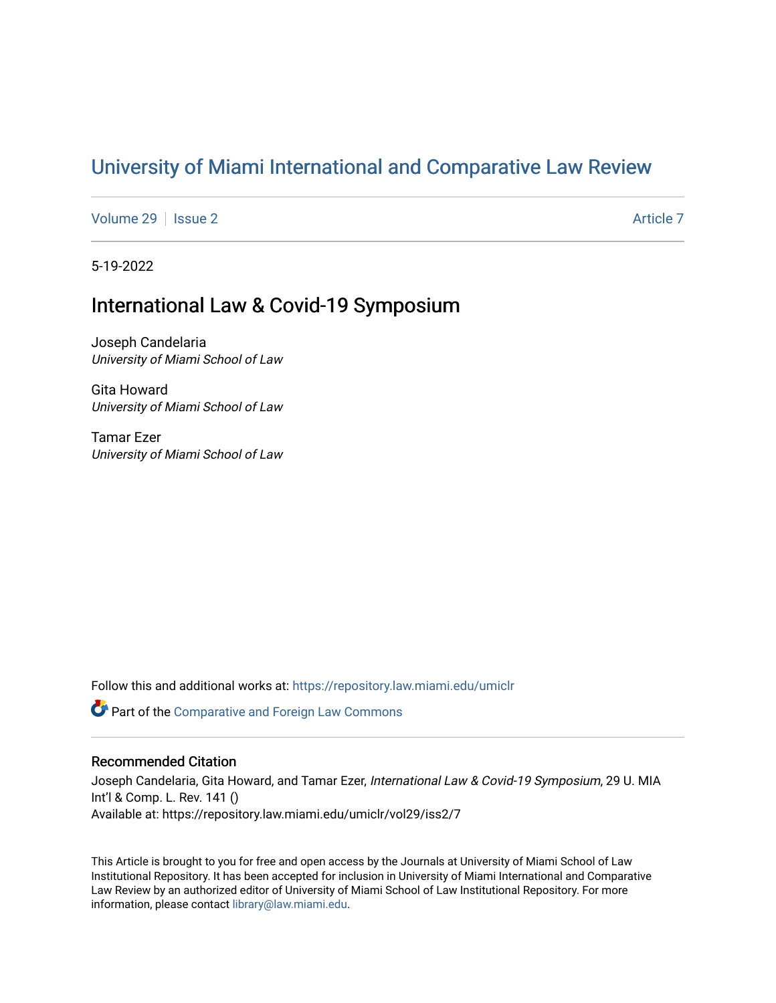# [University of Miami International and Comparative Law Review](https://repository.law.miami.edu/umiclr)

[Volume 29](https://repository.law.miami.edu/umiclr/vol29) | [Issue 2](https://repository.law.miami.edu/umiclr/vol29/iss2) Article 7

5-19-2022

# International Law & Covid-19 Symposium

Joseph Candelaria University of Miami School of Law

Gita Howard University of Miami School of Law

Tamar Ezer University of Miami School of Law

Follow this and additional works at: [https://repository.law.miami.edu/umiclr](https://repository.law.miami.edu/umiclr?utm_source=repository.law.miami.edu%2Fumiclr%2Fvol29%2Fiss2%2F7&utm_medium=PDF&utm_campaign=PDFCoverPages)

Part of the [Comparative and Foreign Law Commons](https://network.bepress.com/hgg/discipline/836?utm_source=repository.law.miami.edu%2Fumiclr%2Fvol29%2Fiss2%2F7&utm_medium=PDF&utm_campaign=PDFCoverPages) 

# Recommended Citation

Joseph Candelaria, Gita Howard, and Tamar Ezer, International Law & Covid-19 Symposium, 29 U. MIA Int'l & Comp. L. Rev. 141 () Available at: https://repository.law.miami.edu/umiclr/vol29/iss2/7

This Article is brought to you for free and open access by the Journals at University of Miami School of Law Institutional Repository. It has been accepted for inclusion in University of Miami International and Comparative Law Review by an authorized editor of University of Miami School of Law Institutional Repository. For more information, please contact [library@law.miami.edu](mailto:library@law.miami.edu).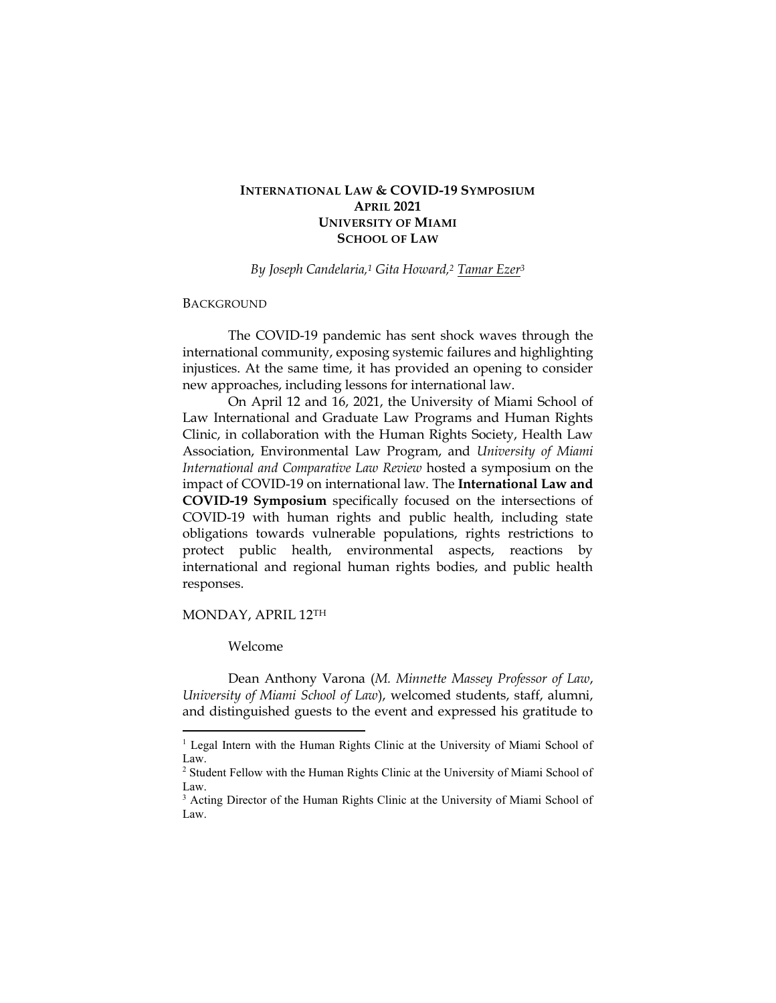# **INTERNATIONAL LAW & COVID-19 SYMPOSIUM APRIL 2021 UNIVERSITY OF MIAMI SCHOOL OF LAW**

*By Joseph Candelaria,<sup>1</sup> Gita Howard,<sup>2</sup> [Tamar Ezer](https://www.law.miami.edu/faculty/tamar-ezer)<sup>3</sup>*

#### BACKGROUND

The COVID-19 pandemic has sent shock waves through the international community, exposing systemic failures and highlighting injustices. At the same time, it has provided an opening to consider new approaches, including lessons for international law.

On April 12 and 16, 2021, the University of Miami School of Law International and Graduate Law Programs and Human Rights Clinic, in collaboration with the Human Rights Society, Health Law Association, Environmental Law Program, and *University of Miami International and Comparative Law Review* hosted a symposium on the impact of COVID-19 on international law. The **International Law and COVID-19 Symposium** specifically focused on the intersections of COVID-19 with human rights and public health, including state obligations towards vulnerable populations, rights restrictions to protect public health, environmental aspects, reactions by international and regional human rights bodies, and public health responses.

## MONDAY, APRIL 12TH

# Welcome

Dean Anthony Varona (*M. Minnette Massey Professor of Law*, *University of Miami School of Law*), welcomed students, staff, alumni, and distinguished guests to the event and expressed his gratitude to

<sup>&</sup>lt;sup>1</sup> Legal Intern with the Human Rights Clinic at the University of Miami School of Law.

<sup>2</sup> Student Fellow with the Human Rights Clinic at the University of Miami School of Law.

<sup>&</sup>lt;sup>3</sup> Acting Director of the Human Rights Clinic at the University of Miami School of Law.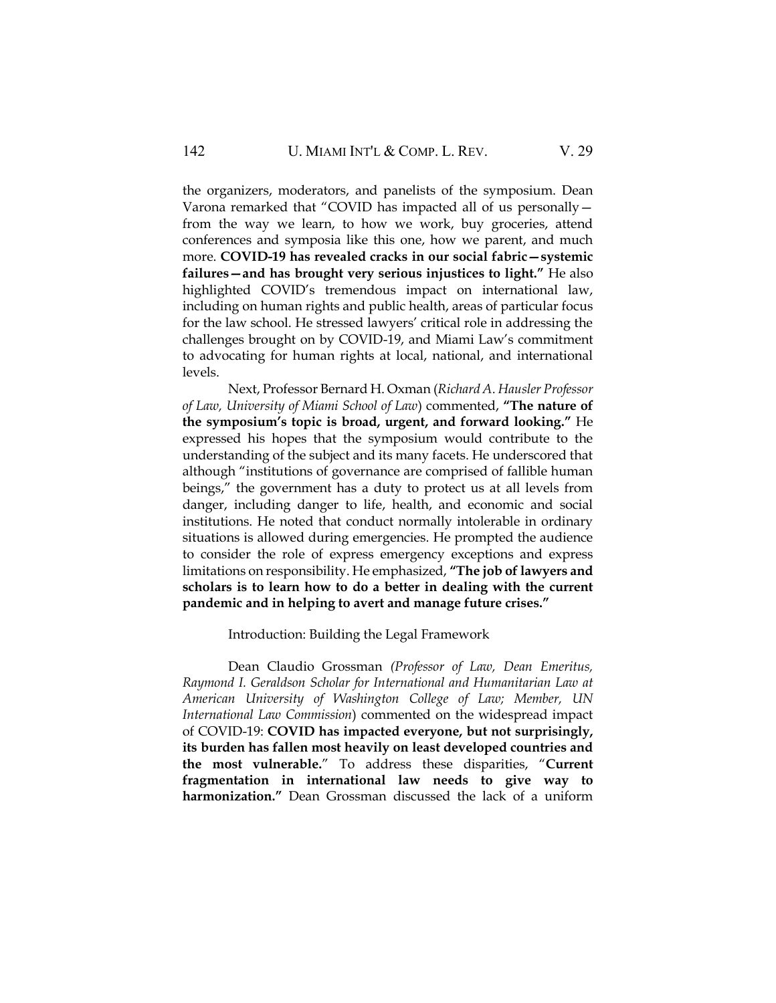the organizers, moderators, and panelists of the symposium. Dean Varona remarked that "COVID has impacted all of us personally from the way we learn, to how we work, buy groceries, attend conferences and symposia like this one, how we parent, and much more. **COVID-19 has revealed cracks in our social fabric—systemic failures—and has brought very serious injustices to light."** He also highlighted COVID's tremendous impact on international law, including on human rights and public health, areas of particular focus for the law school. He stressed lawyers' critical role in addressing the challenges brought on by COVID-19, and Miami Law's commitment to advocating for human rights at local, national, and international levels.

Next, Professor Bernard H. Oxman (*Richard A. Hausler Professor of Law, University of Miami School of Law*) commented, **"The nature of the symposium's topic is broad, urgent, and forward looking."** He expressed his hopes that the symposium would contribute to the understanding of the subject and its many facets. He underscored that although "institutions of governance are comprised of fallible human beings," the government has a duty to protect us at all levels from danger, including danger to life, health, and economic and social institutions. He noted that conduct normally intolerable in ordinary situations is allowed during emergencies. He prompted the audience to consider the role of express emergency exceptions and express limitations on responsibility. He emphasized, **"The job of lawyers and scholars is to learn how to do a better in dealing with the current pandemic and in helping to avert and manage future crises."**

#### Introduction: Building the Legal Framework

Dean Claudio Grossman *(Professor of Law, Dean Emeritus, Raymond I. Geraldson Scholar for International and Humanitarian Law at American University of Washington College of Law; Member, UN International Law Commission*) commented on the widespread impact of COVID-19: **COVID has impacted everyone, but not surprisingly, its burden has fallen most heavily on least developed countries and the most vulnerable.**" To address these disparities, "**Current fragmentation in international law needs to give way to harmonization."** Dean Grossman discussed the lack of a uniform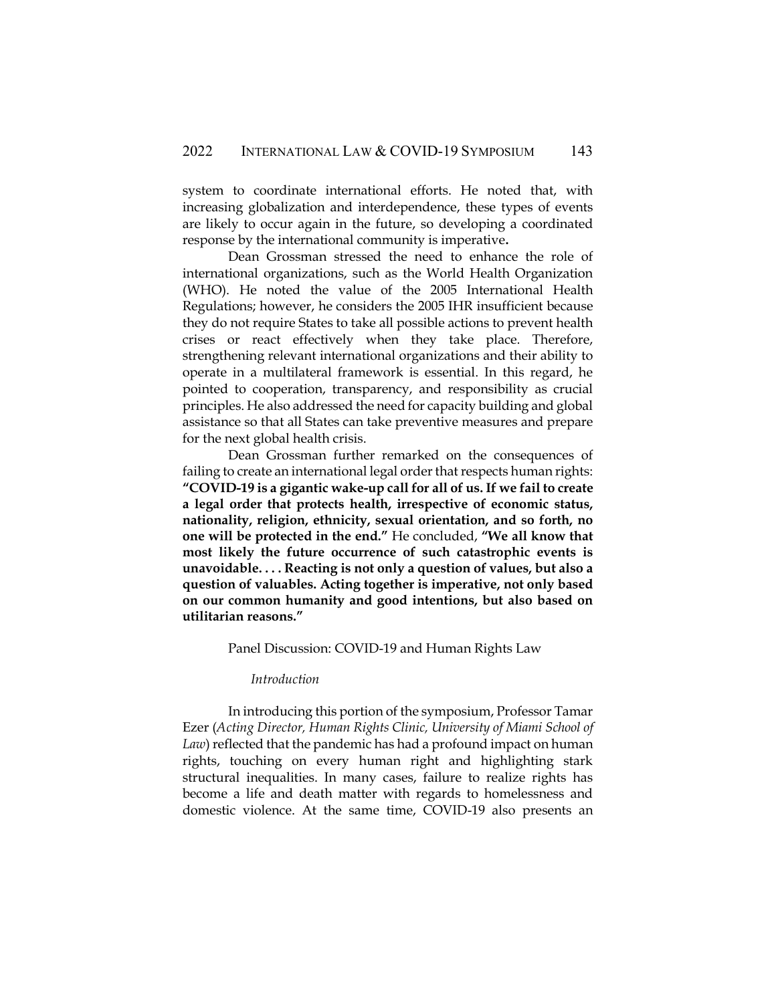system to coordinate international efforts. He noted that, with increasing globalization and interdependence, these types of events are likely to occur again in the future, so developing a coordinated response by the international community is imperative**.**

Dean Grossman stressed the need to enhance the role of international organizations, such as the World Health Organization (WHO). He noted the value of the 2005 International Health Regulations; however, he considers the 2005 IHR insufficient because they do not require States to take all possible actions to prevent health crises or react effectively when they take place. Therefore, strengthening relevant international organizations and their ability to operate in a multilateral framework is essential. In this regard, he pointed to cooperation, transparency, and responsibility as crucial principles. He also addressed the need for capacity building and global assistance so that all States can take preventive measures and prepare for the next global health crisis.

Dean Grossman further remarked on the consequences of failing to create an international legal order that respects human rights: **"COVID-19 is a gigantic wake-up call for all of us. If we fail to create a legal order that protects health, irrespective of economic status, nationality, religion, ethnicity, sexual orientation, and so forth, no one will be protected in the end."** He concluded, **"We all know that most likely the future occurrence of such catastrophic events is unavoidable. . . . Reacting is not only a question of values, but also a question of valuables. Acting together is imperative, not only based on our common humanity and good intentions, but also based on utilitarian reasons."**

#### Panel Discussion: COVID-19 and Human Rights Law

# *Introduction*

In introducing this portion of the symposium, Professor Tamar Ezer (*Acting Director, Human Rights Clinic, University of Miami School of Law*) reflected that the pandemic has had a profound impact on human rights, touching on every human right and highlighting stark structural inequalities. In many cases, failure to realize rights has become a life and death matter with regards to homelessness and domestic violence. At the same time, COVID-19 also presents an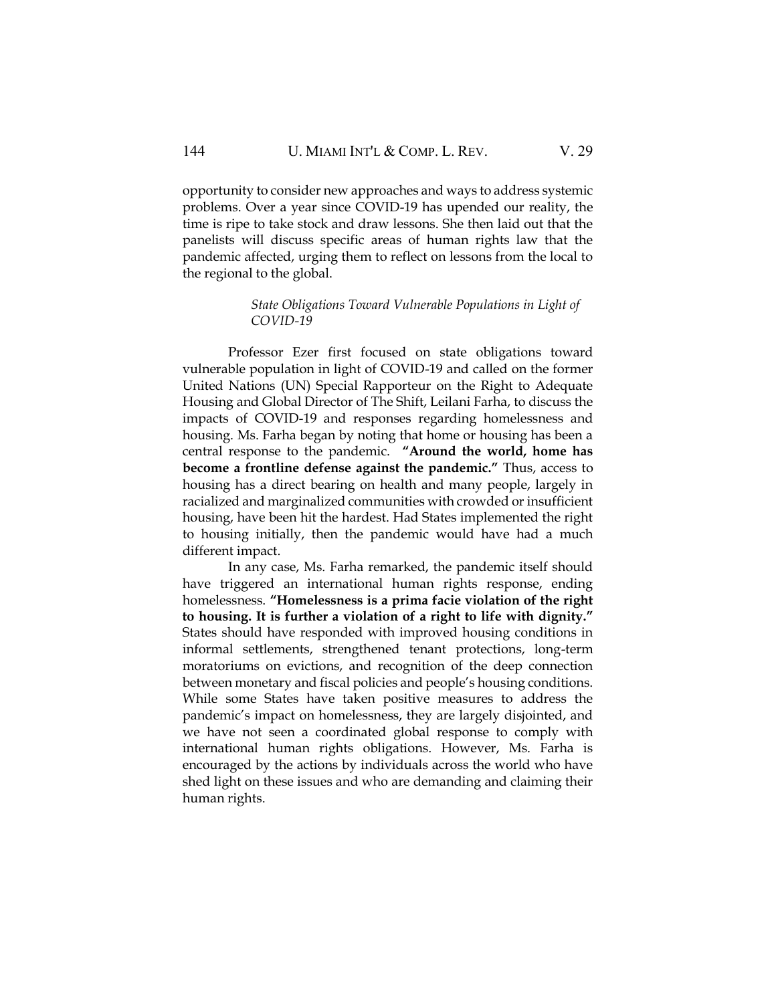opportunity to consider new approaches and ways to address systemic problems. Over a year since COVID-19 has upended our reality, the time is ripe to take stock and draw lessons. She then laid out that the panelists will discuss specific areas of human rights law that the pandemic affected, urging them to reflect on lessons from the local to the regional to the global.

# *State Obligations Toward Vulnerable Populations in Light of COVID-19*

Professor Ezer first focused on state obligations toward vulnerable population in light of COVID-19 and called on the former United Nations (UN) Special Rapporteur on the Right to Adequate Housing and Global Director of The Shift, Leilani Farha, to discuss the impacts of COVID-19 and responses regarding homelessness and housing. Ms. Farha began by noting that home or housing has been a central response to the pandemic. **"Around the world, home has become a frontline defense against the pandemic."** Thus, access to housing has a direct bearing on health and many people, largely in racialized and marginalized communities with crowded or insufficient housing, have been hit the hardest. Had States implemented the right to housing initially, then the pandemic would have had a much different impact.

In any case, Ms. Farha remarked, the pandemic itself should have triggered an international human rights response, ending homelessness. **"Homelessness is a prima facie violation of the right to housing. It is further a violation of a right to life with dignity."** States should have responded with improved housing conditions in informal settlements, strengthened tenant protections, long-term moratoriums on evictions, and recognition of the deep connection between monetary and fiscal policies and people's housing conditions. While some States have taken positive measures to address the pandemic's impact on homelessness, they are largely disjointed, and we have not seen a coordinated global response to comply with international human rights obligations. However, Ms. Farha is encouraged by the actions by individuals across the world who have shed light on these issues and who are demanding and claiming their human rights.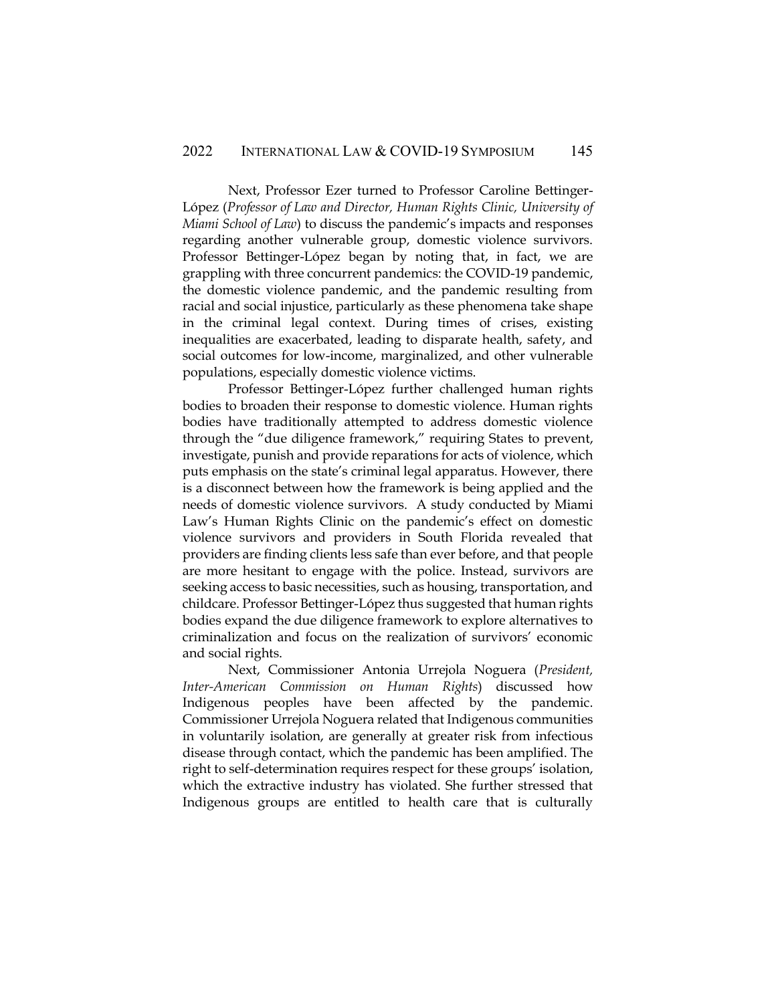Next, Professor Ezer turned to Professor Caroline Bettinger-López (*Professor of Law and Director, Human Rights Clinic, University of Miami School of Law*) to discuss the pandemic's impacts and responses regarding another vulnerable group, domestic violence survivors. Professor Bettinger-López began by noting that, in fact, we are grappling with three concurrent pandemics: the COVID-19 pandemic, the domestic violence pandemic, and the pandemic resulting from racial and social injustice, particularly as these phenomena take shape in the criminal legal context. During times of crises, existing inequalities are exacerbated, leading to disparate health, safety, and social outcomes for low-income, marginalized, and other vulnerable populations, especially domestic violence victims.

Professor Bettinger-López further challenged human rights bodies to broaden their response to domestic violence. Human rights bodies have traditionally attempted to address domestic violence through the "due diligence framework," requiring States to prevent, investigate, punish and provide reparations for acts of violence, which puts emphasis on the state's criminal legal apparatus. However, there is a disconnect between how the framework is being applied and the needs of domestic violence survivors. A study conducted by Miami Law's Human Rights Clinic on the pandemic's effect on domestic violence survivors and providers in South Florida revealed that providers are finding clients less safe than ever before, and that people are more hesitant to engage with the police. Instead, survivors are seeking access to basic necessities, such as housing, transportation, and childcare. Professor Bettinger-López thus suggested that human rights bodies expand the due diligence framework to explore alternatives to criminalization and focus on the realization of survivors' economic and social rights.

Next, Commissioner Antonia Urrejola Noguera (*President, Inter-American Commission on Human Rights*) discussed how Indigenous peoples have been affected by the pandemic. Commissioner Urrejola Noguera related that Indigenous communities in voluntarily isolation, are generally at greater risk from infectious disease through contact, which the pandemic has been amplified. The right to self-determination requires respect for these groups' isolation, which the extractive industry has violated. She further stressed that Indigenous groups are entitled to health care that is culturally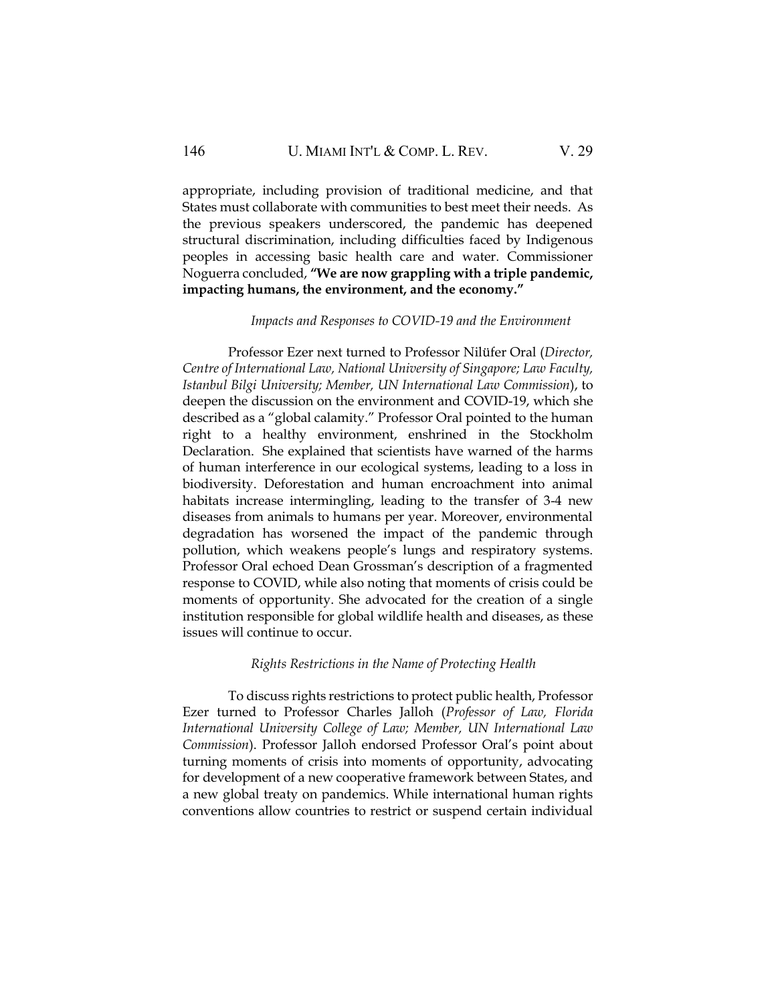appropriate, including provision of traditional medicine, and that States must collaborate with communities to best meet their needs. As the previous speakers underscored, the pandemic has deepened structural discrimination, including difficulties faced by Indigenous peoples in accessing basic health care and water. Commissioner Noguerra concluded, **"We are now grappling with a triple pandemic, impacting humans, the environment, and the economy."**

# *Impacts and Responses to COVID-19 and the Environment*

Professor Ezer next turned to Professor Nilüfer Oral (*Director, Centre of International Law, National University of Singapore; Law Faculty, Istanbul Bilgi University; Member, UN International Law Commission*), to deepen the discussion on the environment and COVID-19, which she described as a "global calamity." Professor Oral pointed to the human right to a healthy environment, enshrined in the Stockholm Declaration. She explained that scientists have warned of the harms of human interference in our ecological systems, leading to a loss in biodiversity. Deforestation and human encroachment into animal habitats increase intermingling, leading to the transfer of 3-4 new diseases from animals to humans per year. Moreover, environmental degradation has worsened the impact of the pandemic through pollution, which weakens people's lungs and respiratory systems. Professor Oral echoed Dean Grossman's description of a fragmented response to COVID, while also noting that moments of crisis could be moments of opportunity. She advocated for the creation of a single institution responsible for global wildlife health and diseases, as these issues will continue to occur.

#### *Rights Restrictions in the Name of Protecting Health*

To discuss rights restrictions to protect public health, Professor Ezer turned to Professor Charles Jalloh (*Professor of Law, Florida International University College of Law; Member, UN International Law Commission*). Professor Jalloh endorsed Professor Oral's point about turning moments of crisis into moments of opportunity, advocating for development of a new cooperative framework between States, and a new global treaty on pandemics. While international human rights conventions allow countries to restrict or suspend certain individual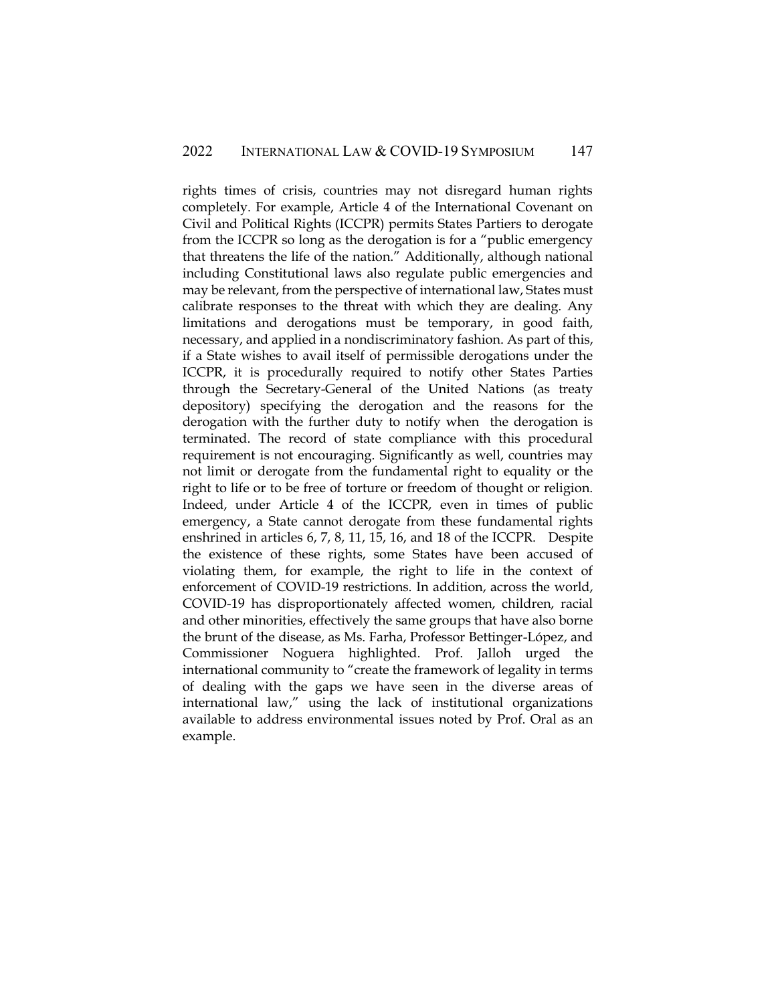rights times of crisis, countries may not disregard human rights completely. For example, Article 4 of the International Covenant on Civil and Political Rights (ICCPR) permits States Partiers to derogate from the ICCPR so long as the derogation is for a "public emergency that threatens the life of the nation." Additionally, although national including Constitutional laws also regulate public emergencies and may be relevant, from the perspective of international law, States must calibrate responses to the threat with which they are dealing. Any limitations and derogations must be temporary, in good faith, necessary, and applied in a nondiscriminatory fashion. As part of this, if a State wishes to avail itself of permissible derogations under the ICCPR, it is procedurally required to notify other States Parties through the Secretary-General of the United Nations (as treaty depository) specifying the derogation and the reasons for the derogation with the further duty to notify when the derogation is terminated. The record of state compliance with this procedural requirement is not encouraging. Significantly as well, countries may not limit or derogate from the fundamental right to equality or the right to life or to be free of torture or freedom of thought or religion. Indeed, under Article 4 of the ICCPR, even in times of public emergency, a State cannot derogate from these fundamental rights enshrined in articles 6, 7, 8, 11, 15, 16, and 18 of the ICCPR. Despite the existence of these rights, some States have been accused of violating them, for example, the right to life in the context of enforcement of COVID-19 restrictions. In addition, across the world, COVID-19 has disproportionately affected women, children, racial and other minorities, effectively the same groups that have also borne the brunt of the disease, as Ms. Farha, Professor Bettinger-López, and Commissioner Noguera highlighted. Prof. Jalloh urged the international community to "create the framework of legality in terms of dealing with the gaps we have seen in the diverse areas of international law," using the lack of institutional organizations available to address environmental issues noted by Prof. Oral as an example.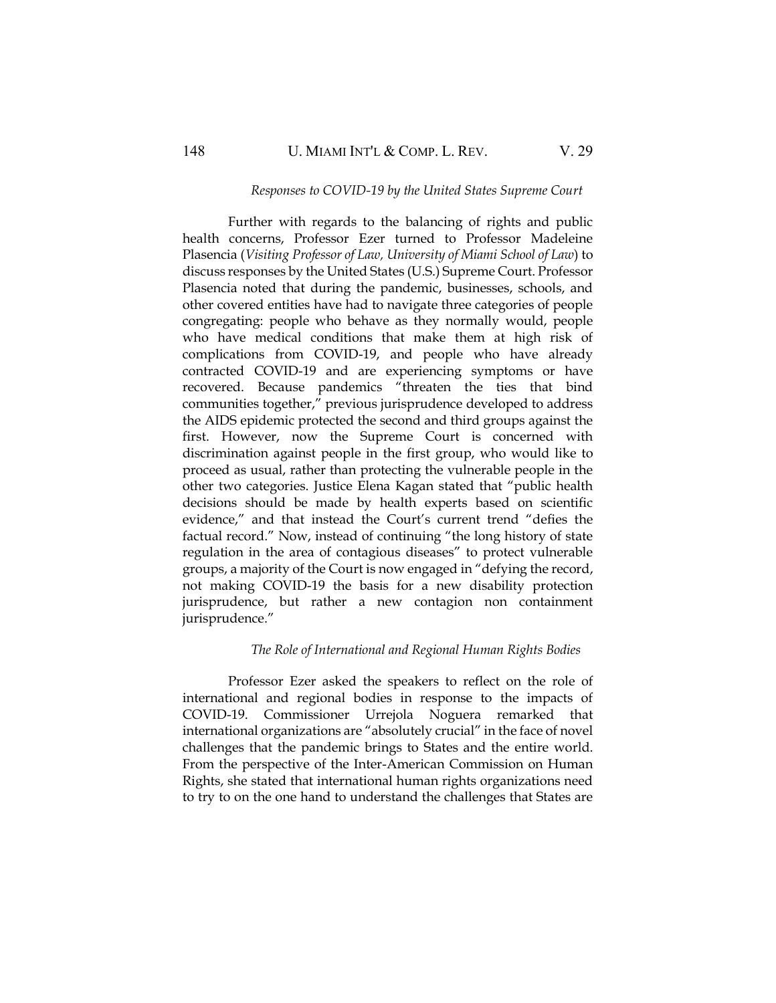#### *Responses to COVID-19 by the United States Supreme Court*

Further with regards to the balancing of rights and public health concerns, Professor Ezer turned to Professor Madeleine Plasencia (*Visiting Professor of Law, University of Miami School of Law*) to discuss responses by the United States (U.S.) Supreme Court. Professor Plasencia noted that during the pandemic, businesses, schools, and other covered entities have had to navigate three categories of people congregating: people who behave as they normally would, people who have medical conditions that make them at high risk of complications from COVID-19, and people who have already contracted COVID-19 and are experiencing symptoms or have recovered. Because pandemics "threaten the ties that bind communities together," previous jurisprudence developed to address the AIDS epidemic protected the second and third groups against the first. However, now the Supreme Court is concerned with discrimination against people in the first group, who would like to proceed as usual, rather than protecting the vulnerable people in the other two categories. Justice Elena Kagan stated that "public health decisions should be made by health experts based on scientific evidence," and that instead the Court's current trend "defies the factual record." Now, instead of continuing "the long history of state regulation in the area of contagious diseases" to protect vulnerable groups, a majority of the Court is now engaged in "defying the record, not making COVID-19 the basis for a new disability protection jurisprudence, but rather a new contagion non containment jurisprudence."

# *The Role of International and Regional Human Rights Bodies*

Professor Ezer asked the speakers to reflect on the role of international and regional bodies in response to the impacts of COVID-19. Commissioner Urrejola Noguera remarked that international organizations are "absolutely crucial" in the face of novel challenges that the pandemic brings to States and the entire world. From the perspective of the Inter-American Commission on Human Rights, she stated that international human rights organizations need to try to on the one hand to understand the challenges that States are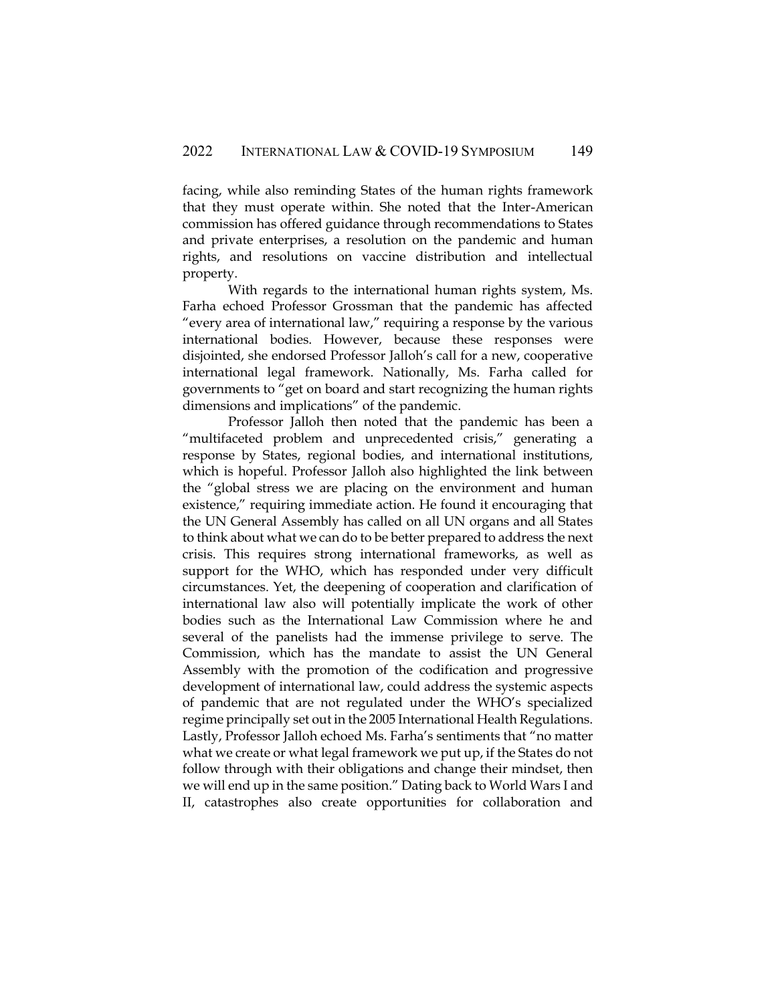facing, while also reminding States of the human rights framework that they must operate within. She noted that the Inter-American commission has offered guidance through recommendations to States and private enterprises, a resolution on the pandemic and human rights, and resolutions on vaccine distribution and intellectual property.

With regards to the international human rights system, Ms. Farha echoed Professor Grossman that the pandemic has affected "every area of international law," requiring a response by the various international bodies. However, because these responses were disjointed, she endorsed Professor Jalloh's call for a new, cooperative international legal framework. Nationally, Ms. Farha called for governments to "get on board and start recognizing the human rights dimensions and implications" of the pandemic.

Professor Jalloh then noted that the pandemic has been a "multifaceted problem and unprecedented crisis," generating a response by States, regional bodies, and international institutions, which is hopeful. Professor Jalloh also highlighted the link between the "global stress we are placing on the environment and human existence," requiring immediate action. He found it encouraging that the UN General Assembly has called on all UN organs and all States to think about what we can do to be better prepared to address the next crisis. This requires strong international frameworks, as well as support for the WHO, which has responded under very difficult circumstances. Yet, the deepening of cooperation and clarification of international law also will potentially implicate the work of other bodies such as the International Law Commission where he and several of the panelists had the immense privilege to serve. The Commission, which has the mandate to assist the UN General Assembly with the promotion of the codification and progressive development of international law, could address the systemic aspects of pandemic that are not regulated under the WHO's specialized regime principally set out in the 2005 International Health Regulations. Lastly, Professor Jalloh echoed Ms. Farha's sentiments that "no matter what we create or what legal framework we put up, if the States do not follow through with their obligations and change their mindset, then we will end up in the same position." Dating back to World Wars I and II, catastrophes also create opportunities for collaboration and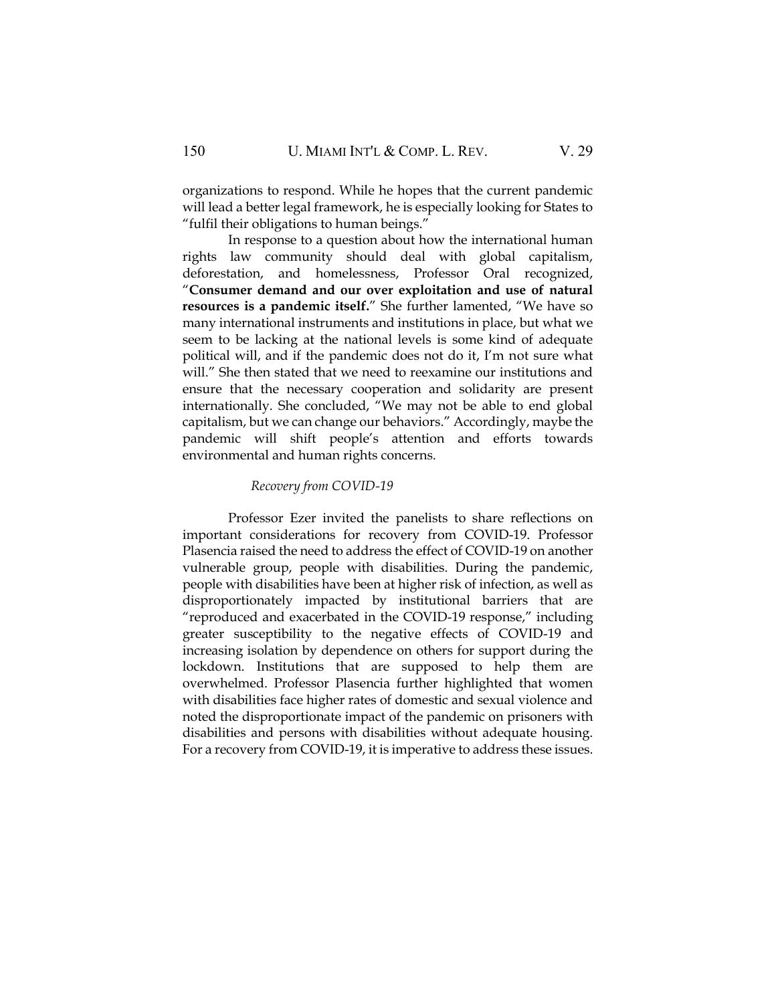organizations to respond. While he hopes that the current pandemic will lead a better legal framework, he is especially looking for States to "fulfil their obligations to human beings."

In response to a question about how the international human rights law community should deal with global capitalism, deforestation, and homelessness, Professor Oral recognized, "**Consumer demand and our over exploitation and use of natural resources is a pandemic itself.**" She further lamented, "We have so many international instruments and institutions in place, but what we seem to be lacking at the national levels is some kind of adequate political will, and if the pandemic does not do it, I'm not sure what will." She then stated that we need to reexamine our institutions and ensure that the necessary cooperation and solidarity are present internationally. She concluded, "We may not be able to end global capitalism, but we can change our behaviors." Accordingly, maybe the pandemic will shift people's attention and efforts towards environmental and human rights concerns.

#### *Recovery from COVID-19*

Professor Ezer invited the panelists to share reflections on important considerations for recovery from COVID-19. Professor Plasencia raised the need to address the effect of COVID-19 on another vulnerable group, people with disabilities. During the pandemic, people with disabilities have been at higher risk of infection, as well as disproportionately impacted by institutional barriers that are "reproduced and exacerbated in the COVID-19 response," including greater susceptibility to the negative effects of COVID-19 and increasing isolation by dependence on others for support during the lockdown. Institutions that are supposed to help them are overwhelmed. Professor Plasencia further highlighted that women with disabilities face higher rates of domestic and sexual violence and noted the disproportionate impact of the pandemic on prisoners with disabilities and persons with disabilities without adequate housing. For a recovery from COVID-19, it is imperative to address these issues.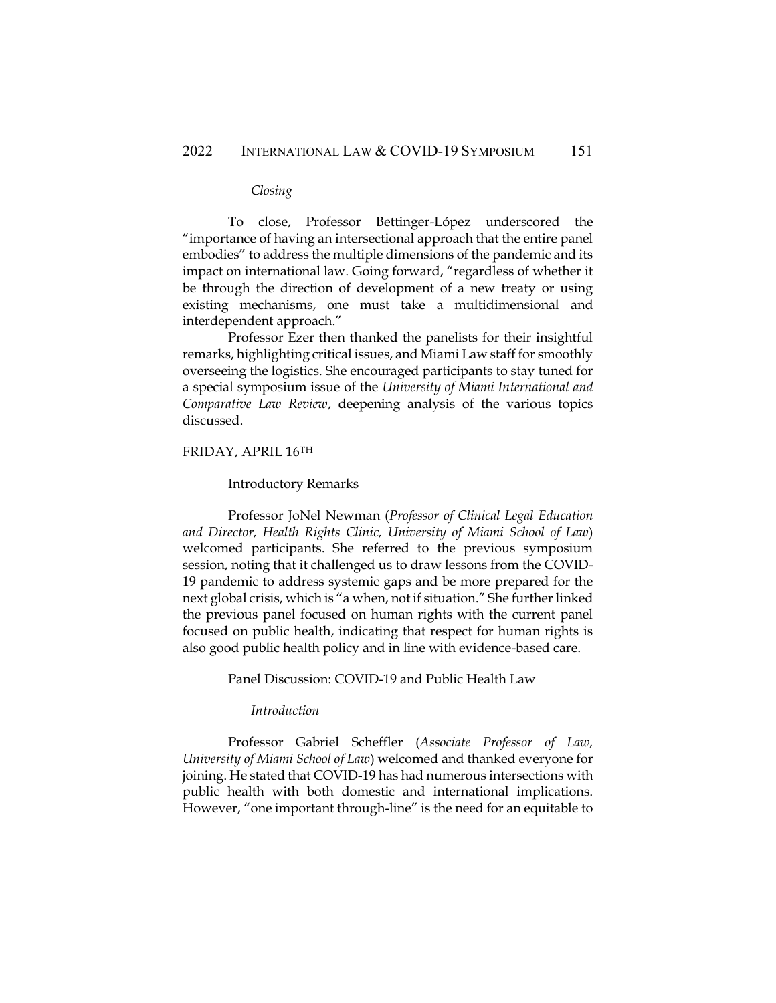#### *Closing*

To close, Professor Bettinger-López underscored the "importance of having an intersectional approach that the entire panel embodies" to address the multiple dimensions of the pandemic and its impact on international law. Going forward, "regardless of whether it be through the direction of development of a new treaty or using existing mechanisms, one must take a multidimensional and interdependent approach."

Professor Ezer then thanked the panelists for their insightful remarks, highlighting critical issues, and Miami Law staff for smoothly overseeing the logistics. She encouraged participants to stay tuned for a special symposium issue of the *University of Miami International and Comparative Law Review*, deepening analysis of the various topics discussed.

# FRIDAY, APRIL 16TH

#### Introductory Remarks

Professor JoNel Newman (*Professor of Clinical Legal Education and Director, Health Rights Clinic, University of Miami School of Law*) welcomed participants. She referred to the previous symposium session, noting that it challenged us to draw lessons from the COVID-19 pandemic to address systemic gaps and be more prepared for the next global crisis, which is "a when, not if situation." She further linked the previous panel focused on human rights with the current panel focused on public health, indicating that respect for human rights is also good public health policy and in line with evidence-based care.

# Panel Discussion: COVID-19 and Public Health Law

# *Introduction*

Professor Gabriel Scheffler (*Associate Professor of Law, University of Miami School of Law*) welcomed and thanked everyone for joining. He stated that COVID-19 has had numerous intersections with public health with both domestic and international implications. However, "one important through-line" is the need for an equitable to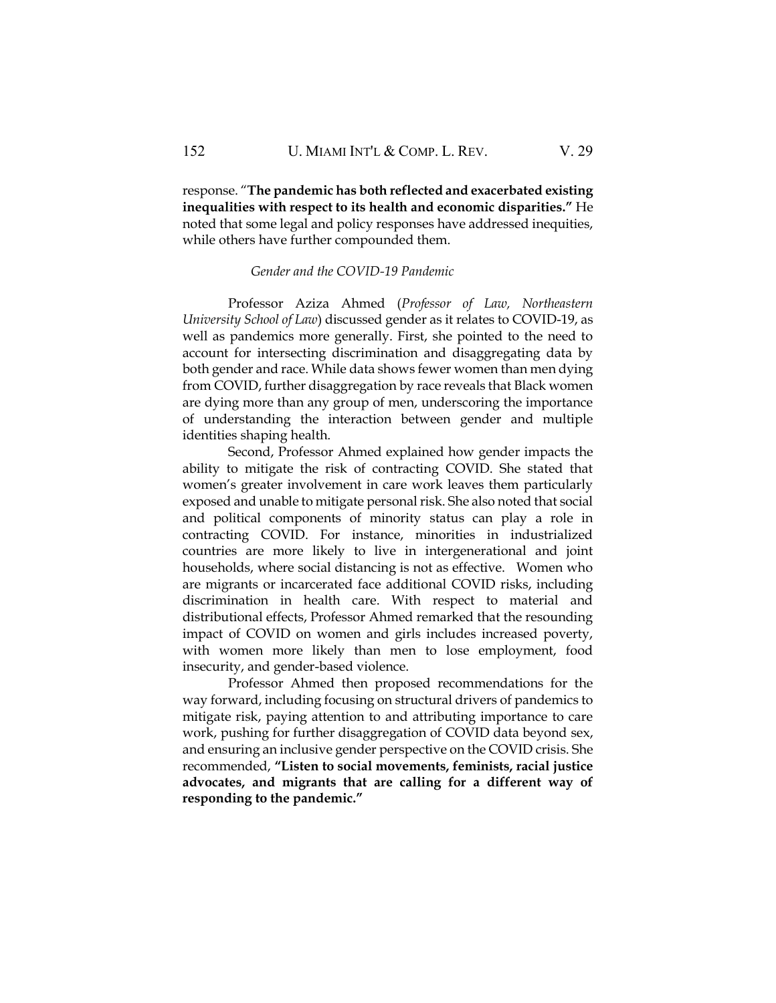response. "**The pandemic has both reflected and exacerbated existing inequalities with respect to its health and economic disparities."** He noted that some legal and policy responses have addressed inequities, while others have further compounded them.

#### *Gender and the COVID-19 Pandemic*

Professor Aziza Ahmed (*Professor of Law, Northeastern University School of Law*) discussed gender as it relates to COVID-19, as well as pandemics more generally. First, she pointed to the need to account for intersecting discrimination and disaggregating data by both gender and race. While data shows fewer women than men dying from COVID, further disaggregation by race reveals that Black women are dying more than any group of men, underscoring the importance of understanding the interaction between gender and multiple identities shaping health.

Second, Professor Ahmed explained how gender impacts the ability to mitigate the risk of contracting COVID. She stated that women's greater involvement in care work leaves them particularly exposed and unable to mitigate personal risk. She also noted that social and political components of minority status can play a role in contracting COVID. For instance, minorities in industrialized countries are more likely to live in intergenerational and joint households, where social distancing is not as effective. Women who are migrants or incarcerated face additional COVID risks, including discrimination in health care. With respect to material and distributional effects, Professor Ahmed remarked that the resounding impact of COVID on women and girls includes increased poverty, with women more likely than men to lose employment, food insecurity, and gender-based violence.

Professor Ahmed then proposed recommendations for the way forward, including focusing on structural drivers of pandemics to mitigate risk, paying attention to and attributing importance to care work, pushing for further disaggregation of COVID data beyond sex, and ensuring an inclusive gender perspective on the COVID crisis. She recommended, **"Listen to social movements, feminists, racial justice advocates, and migrants that are calling for a different way of responding to the pandemic."**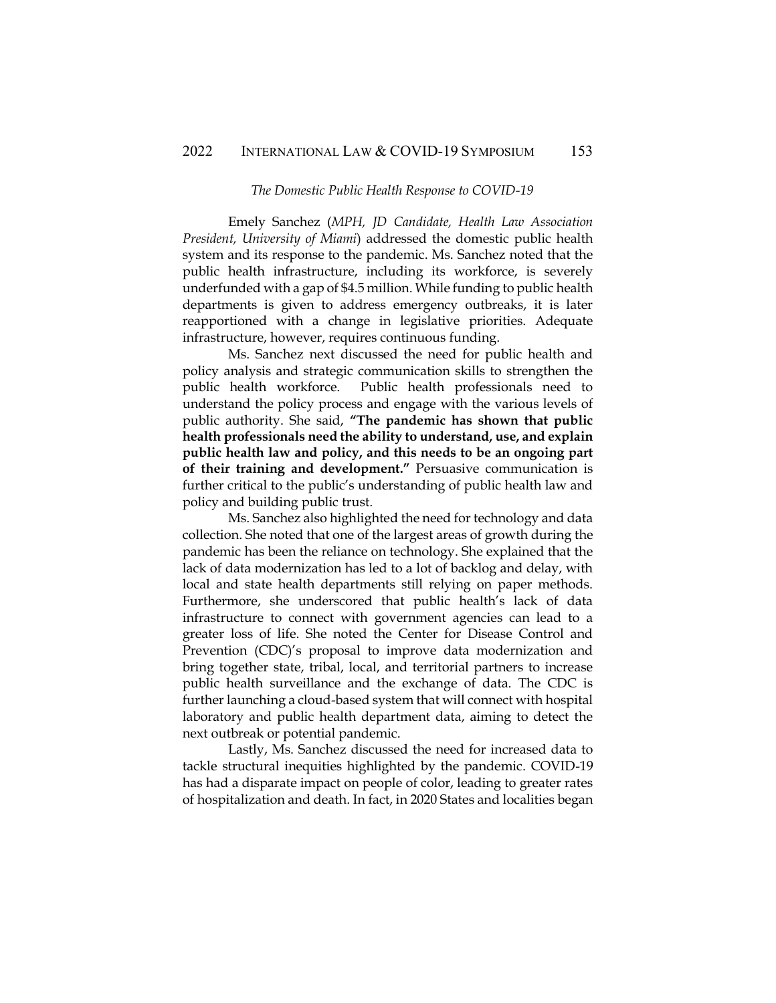#### *The Domestic Public Health Response to COVID-19*

Emely Sanchez (*MPH, JD Candidate, Health Law Association President, University of Miami*) addressed the domestic public health system and its response to the pandemic. Ms. Sanchez noted that the public health infrastructure, including its workforce, is severely underfunded with a gap of \$4.5 million. While funding to public health departments is given to address emergency outbreaks, it is later reapportioned with a change in legislative priorities. Adequate infrastructure, however, requires continuous funding.

Ms. Sanchez next discussed the need for public health and policy analysis and strategic communication skills to strengthen the public health workforce. Public health professionals need to understand the policy process and engage with the various levels of public authority. She said, **"The pandemic has shown that public health professionals need the ability to understand, use, and explain public health law and policy, and this needs to be an ongoing part of their training and development."** Persuasive communication is further critical to the public's understanding of public health law and policy and building public trust.

Ms. Sanchez also highlighted the need for technology and data collection. She noted that one of the largest areas of growth during the pandemic has been the reliance on technology. She explained that the lack of data modernization has led to a lot of backlog and delay, with local and state health departments still relying on paper methods. Furthermore, she underscored that public health's lack of data infrastructure to connect with government agencies can lead to a greater loss of life. She noted the Center for Disease Control and Prevention (CDC)'s proposal to improve data modernization and bring together state, tribal, local, and territorial partners to increase public health surveillance and the exchange of data. The CDC is further launching a cloud-based system that will connect with hospital laboratory and public health department data, aiming to detect the next outbreak or potential pandemic.

Lastly, Ms. Sanchez discussed the need for increased data to tackle structural inequities highlighted by the pandemic. COVID-19 has had a disparate impact on people of color, leading to greater rates of hospitalization and death. In fact, in 2020 States and localities began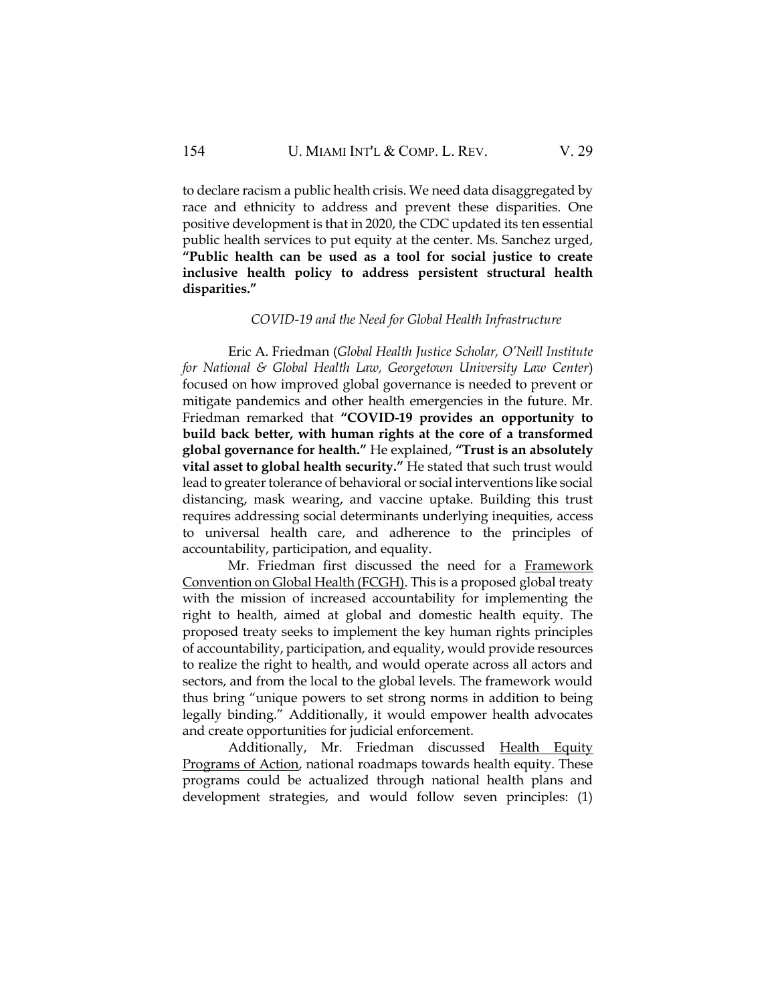to declare racism a public health crisis. We need data disaggregated by race and ethnicity to address and prevent these disparities. One positive development is that in 2020, the CDC updated its ten essential public health services to put equity at the center. Ms. Sanchez urged, **"Public health can be used as a tool for social justice to create inclusive health policy to address persistent structural health disparities."**

# *COVID-19 and the Need for Global Health Infrastructure*

Eric A. Friedman (*Global Health Justice Scholar, O'Neill Institute for National & Global Health Law, Georgetown University Law Center*) focused on how improved global governance is needed to prevent or mitigate pandemics and other health emergencies in the future. Mr. Friedman remarked that **"COVID-19 provides an opportunity to build back better, with human rights at the core of a transformed global governance for health."** He explained, **"Trust is an absolutely vital asset to global health security."** He stated that such trust would lead to greater tolerance of behavioral or social interventions like social distancing, mask wearing, and vaccine uptake. Building this trust requires addressing social determinants underlying inequities, access to universal health care, and adherence to the principles of accountability, participation, and equality.

Mr. Friedman first discussed the need for a [Framework](http://fcghalliance.org/)  [Convention on Global Health \(FCGH\).](http://fcghalliance.org/) This is a proposed global treaty with the mission of increased accountability for implementing the right to health, aimed at global and domestic health equity. The proposed treaty seeks to implement the key human rights principles of accountability, participation, and equality, would provide resources to realize the right to health, and would operate across all actors and sectors, and from the local to the global levels. The framework would thus bring "unique powers to set strong norms in addition to being legally binding." Additionally, it would empower health advocates and create opportunities for judicial enforcement.

Additionally, Mr. Friedman discussed [Health Equity](https://oneill.law.georgetown.edu/projects/tuberculosis-law-and-human-rights-project/health-equity-programs-of-action/)  [Programs of Action,](https://oneill.law.georgetown.edu/projects/tuberculosis-law-and-human-rights-project/health-equity-programs-of-action/) national roadmaps towards health equity. These programs could be actualized through national health plans and development strategies, and would follow seven principles: (1)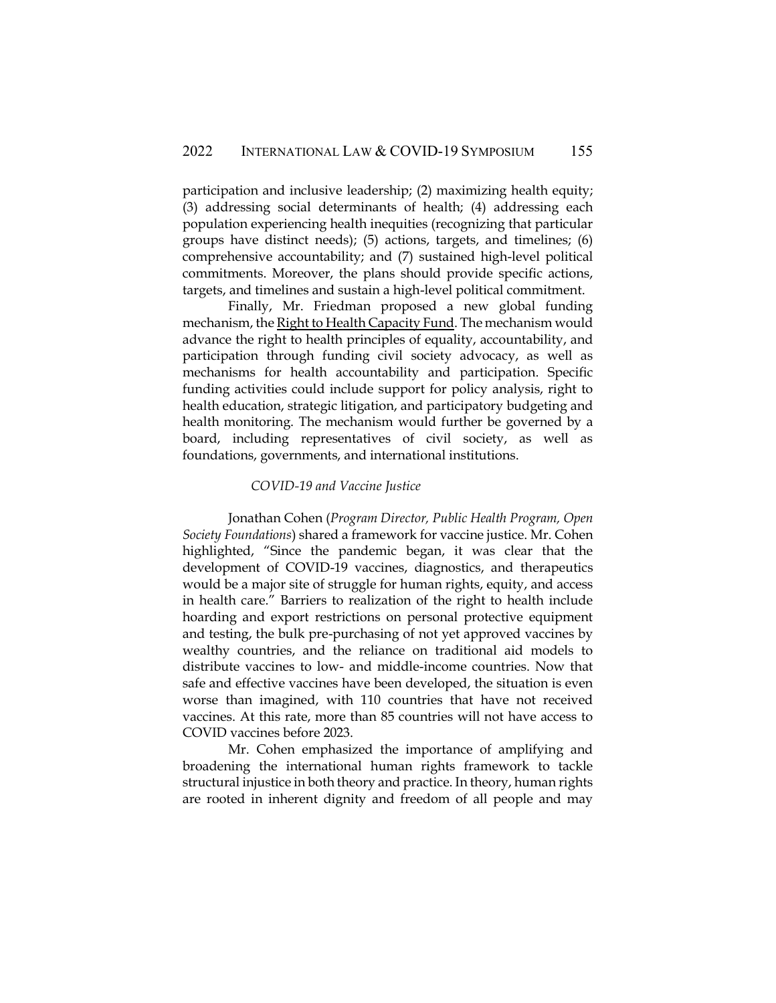participation and inclusive leadership; (2) maximizing health equity; (3) addressing social determinants of health; (4) addressing each population experiencing health inequities (recognizing that particular groups have distinct needs); (5) actions, targets, and timelines; (6) comprehensive accountability; and (7) sustained high-level political commitments. Moreover, the plans should provide specific actions, targets, and timelines and sustain a high-level political commitment.

Finally, Mr. Friedman proposed a new global funding mechanism, th[e Right to Health Capacity Fund.](https://www.hhrjournal.org/2020/05/global-health-in-the-age-of-covid-19-responsive-health-systems-through-a-right-to-health-fund/) The mechanism would advance the right to health principles of equality, accountability, and participation through funding civil society advocacy, as well as mechanisms for health accountability and participation. Specific funding activities could include support for policy analysis, right to health education, strategic litigation, and participatory budgeting and health monitoring. The mechanism would further be governed by a board, including representatives of civil society, as well as foundations, governments, and international institutions.

### *COVID-19 and Vaccine Justice*

Jonathan Cohen (*Program Director, Public Health Program, Open Society Foundations*) shared a framework for vaccine justice. Mr. Cohen highlighted, "Since the pandemic began, it was clear that the development of COVID-19 vaccines, diagnostics, and therapeutics would be a major site of struggle for human rights, equity, and access in health care." Barriers to realization of the right to health include hoarding and export restrictions on personal protective equipment and testing, the bulk pre-purchasing of not yet approved vaccines by wealthy countries, and the reliance on traditional aid models to distribute vaccines to low- and middle-income countries. Now that safe and effective vaccines have been developed, the situation is even worse than imagined, with 110 countries that have not received vaccines. At this rate, more than 85 countries will not have access to COVID vaccines before 2023.

Mr. Cohen emphasized the importance of amplifying and broadening the international human rights framework to tackle structural injustice in both theory and practice. In theory, human rights are rooted in inherent dignity and freedom of all people and may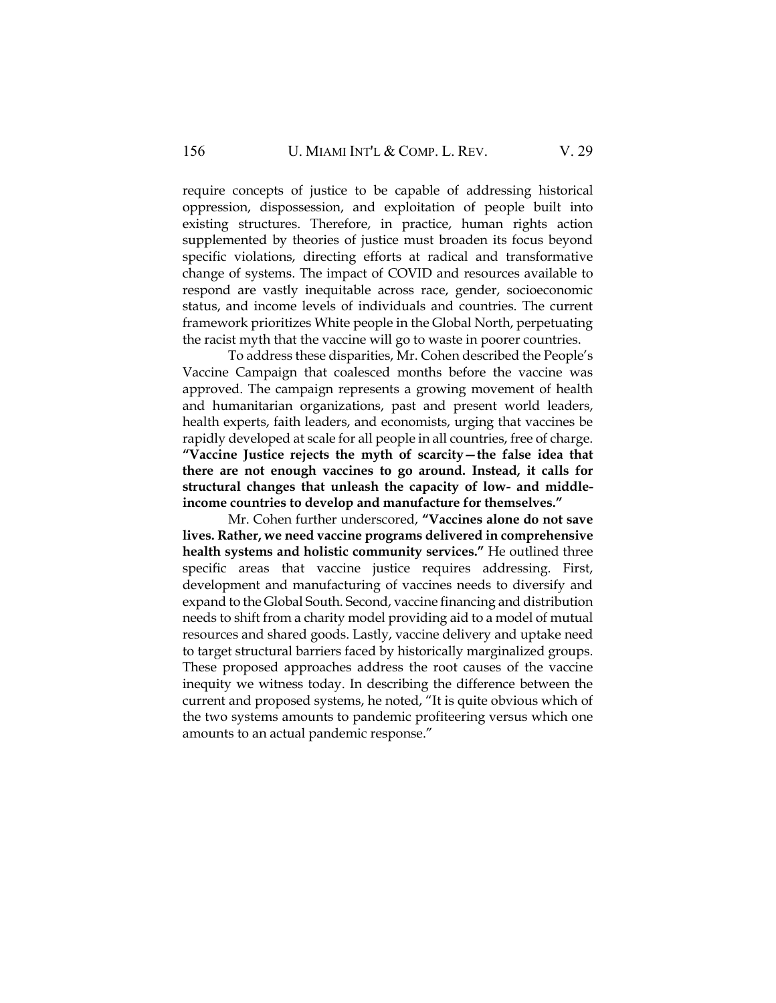require concepts of justice to be capable of addressing historical oppression, dispossession, and exploitation of people built into existing structures. Therefore, in practice, human rights action supplemented by theories of justice must broaden its focus beyond specific violations, directing efforts at radical and transformative change of systems. The impact of COVID and resources available to respond are vastly inequitable across race, gender, socioeconomic status, and income levels of individuals and countries. The current framework prioritizes White people in the Global North, perpetuating the racist myth that the vaccine will go to waste in poorer countries.

To address these disparities, Mr. Cohen described the People's Vaccine Campaign that coalesced months before the vaccine was approved. The campaign represents a growing movement of health and humanitarian organizations, past and present world leaders, health experts, faith leaders, and economists, urging that vaccines be rapidly developed at scale for all people in all countries, free of charge. **"Vaccine Justice rejects the myth of scarcity—the false idea that there are not enough vaccines to go around. Instead, it calls for structural changes that unleash the capacity of low- and middleincome countries to develop and manufacture for themselves."**

Mr. Cohen further underscored, **"Vaccines alone do not save lives. Rather, we need vaccine programs delivered in comprehensive health systems and holistic community services."** He outlined three specific areas that vaccine justice requires addressing. First, development and manufacturing of vaccines needs to diversify and expand to the Global South. Second, vaccine financing and distribution needs to shift from a charity model providing aid to a model of mutual resources and shared goods. Lastly, vaccine delivery and uptake need to target structural barriers faced by historically marginalized groups. These proposed approaches address the root causes of the vaccine inequity we witness today. In describing the difference between the current and proposed systems, he noted, "It is quite obvious which of the two systems amounts to pandemic profiteering versus which one amounts to an actual pandemic response."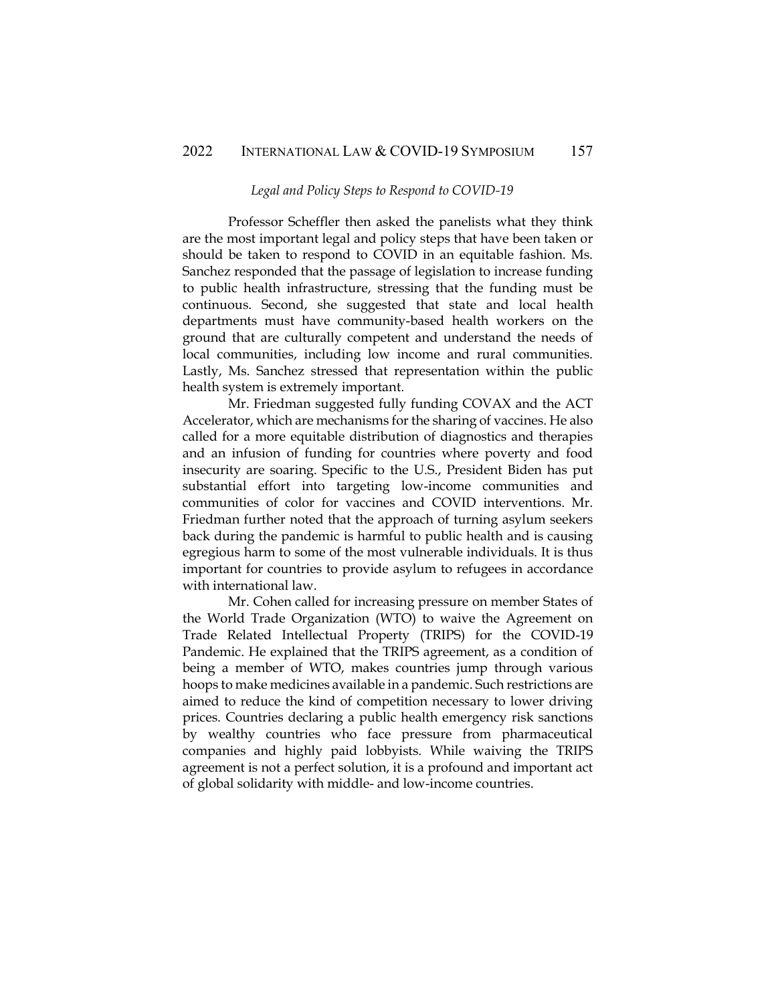#### *Legal and Policy Steps to Respond to COVID-19*

Professor Scheffler then asked the panelists what they think are the most important legal and policy steps that have been taken or should be taken to respond to COVID in an equitable fashion. Ms. Sanchez responded that the passage of legislation to increase funding to public health infrastructure, stressing that the funding must be continuous. Second, she suggested that state and local health departments must have community-based health workers on the ground that are culturally competent and understand the needs of local communities, including low income and rural communities. Lastly, Ms. Sanchez stressed that representation within the public health system is extremely important.

Mr. Friedman suggested fully funding COVAX and the ACT Accelerator, which are mechanisms for the sharing of vaccines. He also called for a more equitable distribution of diagnostics and therapies and an infusion of funding for countries where poverty and food insecurity are soaring. Specific to the U.S., President Biden has put substantial effort into targeting low-income communities and communities of color for vaccines and COVID interventions. Mr. Friedman further noted that the approach of turning asylum seekers back during the pandemic is harmful to public health and is causing egregious harm to some of the most vulnerable individuals. It is thus important for countries to provide asylum to refugees in accordance with international law.

Mr. Cohen called for increasing pressure on member States of the World Trade Organization (WTO) to waive the Agreement on Trade Related Intellectual Property (TRIPS) for the COVID-19 Pandemic. He explained that the TRIPS agreement, as a condition of being a member of WTO, makes countries jump through various hoops to make medicines available in a pandemic. Such restrictions are aimed to reduce the kind of competition necessary to lower driving prices. Countries declaring a public health emergency risk sanctions by wealthy countries who face pressure from pharmaceutical companies and highly paid lobbyists. While waiving the TRIPS agreement is not a perfect solution, it is a profound and important act of global solidarity with middle- and low-income countries.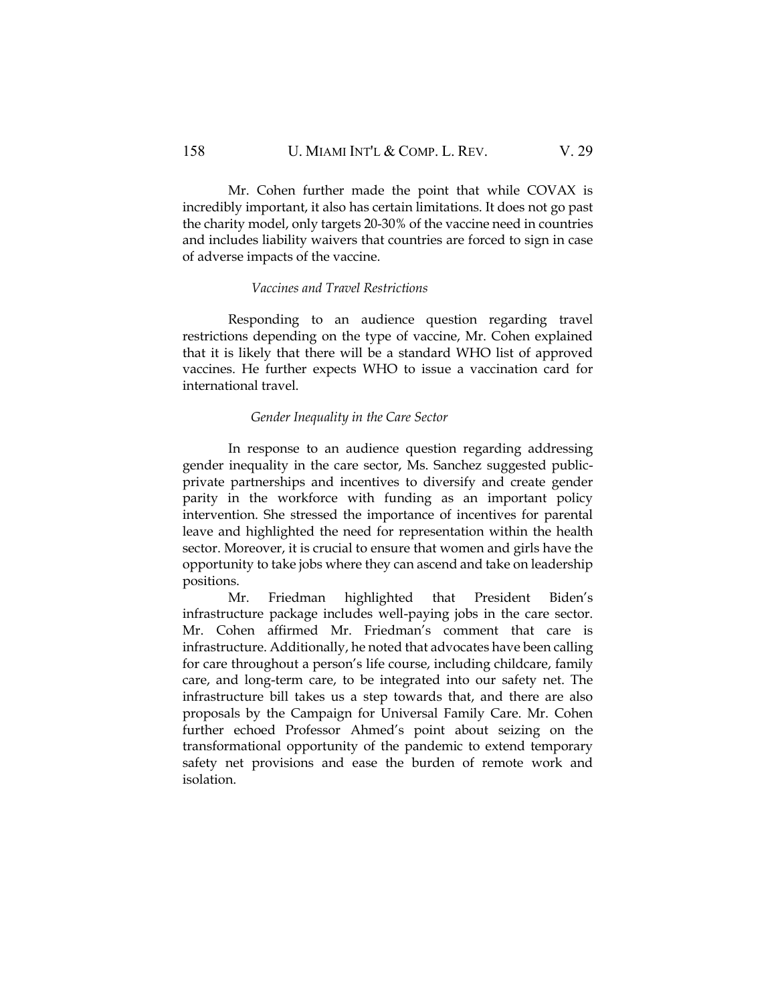Mr. Cohen further made the point that while COVAX is incredibly important, it also has certain limitations. It does not go past the charity model, only targets 20-30% of the vaccine need in countries and includes liability waivers that countries are forced to sign in case of adverse impacts of the vaccine.

#### *Vaccines and Travel Restrictions*

Responding to an audience question regarding travel restrictions depending on the type of vaccine, Mr. Cohen explained that it is likely that there will be a standard WHO list of approved vaccines. He further expects WHO to issue a vaccination card for international travel.

# *Gender Inequality in the Care Sector*

In response to an audience question regarding addressing gender inequality in the care sector, Ms. Sanchez suggested publicprivate partnerships and incentives to diversify and create gender parity in the workforce with funding as an important policy intervention. She stressed the importance of incentives for parental leave and highlighted the need for representation within the health sector. Moreover, it is crucial to ensure that women and girls have the opportunity to take jobs where they can ascend and take on leadership positions.

Mr. Friedman highlighted that President Biden's infrastructure package includes well-paying jobs in the care sector. Mr. Cohen affirmed Mr. Friedman's comment that care is infrastructure. Additionally, he noted that advocates have been calling for care throughout a person's life course, including childcare, family care, and long-term care, to be integrated into our safety net. The infrastructure bill takes us a step towards that, and there are also proposals by the Campaign for Universal Family Care. Mr. Cohen further echoed Professor Ahmed's point about seizing on the transformational opportunity of the pandemic to extend temporary safety net provisions and ease the burden of remote work and isolation.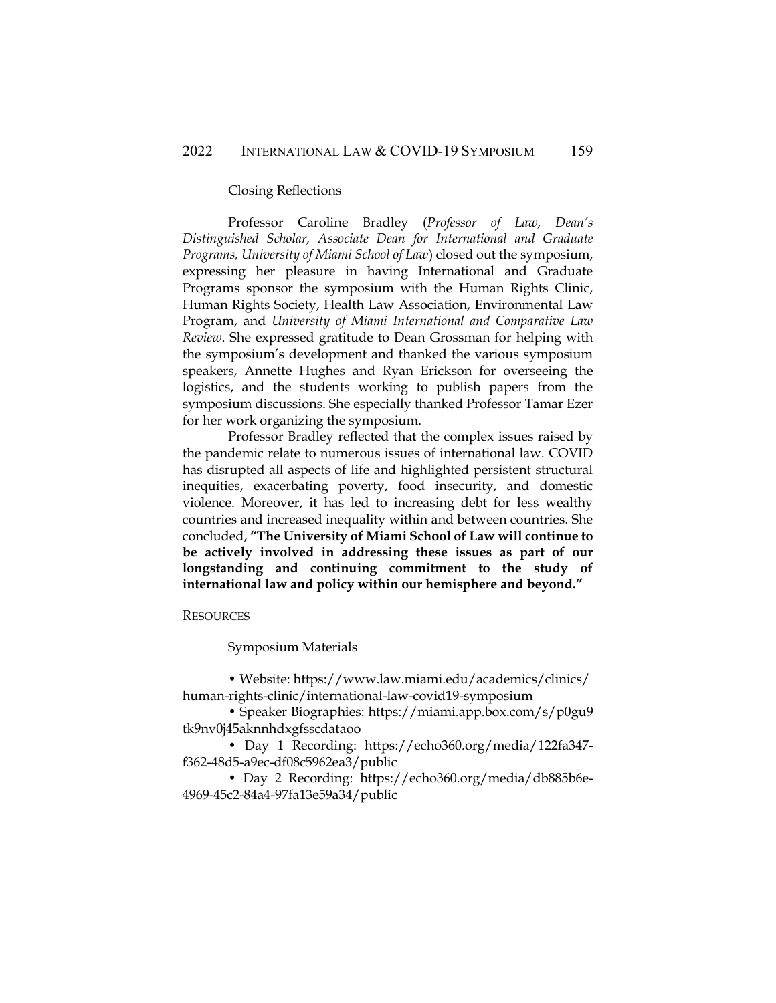#### Closing Reflections

Professor Caroline Bradley (*Professor of Law, Dean's Distinguished Scholar, Associate Dean for International and Graduate Programs, University of Miami School of Law*) closed out the symposium, expressing her pleasure in having International and Graduate Programs sponsor the symposium with the Human Rights Clinic, Human Rights Society, Health Law Association, Environmental Law Program, and *University of Miami International and Comparative Law Review*. She expressed gratitude to Dean Grossman for helping with the symposium's development and thanked the various symposium speakers, Annette Hughes and Ryan Erickson for overseeing the logistics, and the students working to publish papers from the symposium discussions. She especially thanked Professor Tamar Ezer for her work organizing the symposium.

Professor Bradley reflected that the complex issues raised by the pandemic relate to numerous issues of international law. COVID has disrupted all aspects of life and highlighted persistent structural inequities, exacerbating poverty, food insecurity, and domestic violence. Moreover, it has led to increasing debt for less wealthy countries and increased inequality within and between countries. She concluded, **"The University of Miami School of Law will continue to be actively involved in addressing these issues as part of our longstanding and continuing commitment to the study of international law and policy within our hemisphere and beyond."**

#### **RESOURCES**

Symposium Materials

• Website: https://www.law.miami.edu/academics/clinics/ human-rights-clinic/international-law-covid19-symposium

• Speaker Biographies: https://miami.app.box.com/s/p0gu9 tk9nv0j45aknnhdxgfsscdataoo

• Day 1 Recording: https://echo360.org/media/122fa347 f362-48d5-a9ec-df08c5962ea3/public

• Day 2 Recording: https://echo360.org/media/db885b6e-4969-45c2-84a4-97fa13e59a34/public